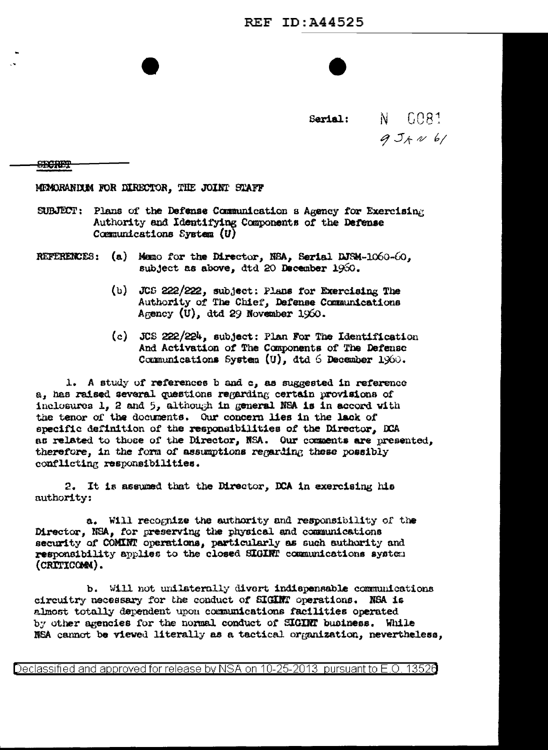Sarial:

N GOR1  $954061$ 

<del>SIXCRET</del>

MEMORANDUM FOR DIRECTOR, THE JOINT STAFF

- SUBJECT: Plans of the Defense Communication a Agency for Exercising Authority and Identifying Components of the Defense Communications System  $(U)$
- REFERENCES: (a) Memo for the Director, NBA, Serial DJSM-1060-60, subject as above, dtd 20 December 1960.
	- (b) JCS 222/222, subject: Plans for Exercising The Authority of The Chief, Defense Communications Agency  $(U)$ , dtd 29 November 1960.
	- (c) JCS 222/224, subject: Plan For The Identification And Activation of The Components of The Defense Communications System (U), dtd 6 December 1960.

1. A study of references b and c, as suggested in reference a, has raised several questions regarding certain provisions of inclosures 1, 2 and 5, although in general NSA is in accord with the tenor of the documents. Our concern lies in the lack of specific definition of the responsibilities of the Director, DCA as related to those of the Director, NSA. Our comments are presented, therefore, in the form of assumptions regarding these possibly conflicting responsibilities.

2. It is assumed that the Director, DCA in exercising his authority:

a. Will recognize the authority and responsibility of the Director, NSA, for preserving the physical and communications security of COMINT operations, particularly as such authority and responsibility applies to the closed SIGINT communications system (CRITICOMM).

b. Will not unilaterally divert indispensable communications circuitry necessary for the conduct of SIGINT operations. NSA is almost totally dependent upon communications facilities operated by other agencies for the normal conduct of SIGINT business. While NSA cannot be viewed literally as a tactical organization, nevertheless,

Declassified and approved for release by NSA on 10-25-2013 pursuant to E.O. 13526